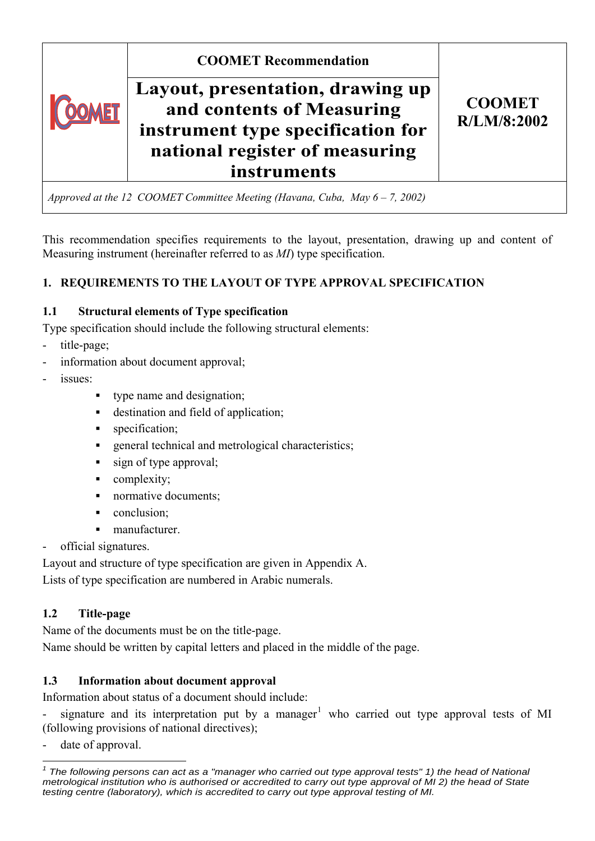

This recommendation specifies requirements to the layout, presentation, drawing up and content of Measuring instrument (hereinafter referred to as *MI*) type specification.

# **1. REQUIREMENTS TO THE LAYOUT OF TYPE APPROVAL SPECIFICATION**

# **1.1 Structural elements of Type specification**

Type specification should include the following structural elements:

- title-page;
- information about document approval;
- issues:
	- type name and designation;
	- destination and field of application;
	- specification;
	- **example 2** general technical and metrological characteristics;
	- sign of type approval;
	- complexity;
	- normative documents;
	- conclusion:
	- manufacturer.
- official signatures.

Layout and structure of type specification are given in Appendix A.

Lists of type specification are numbered in Arabic numerals.

# **1.2 Title-page**

Name of the documents must be on the title-page.

Name should be written by capital letters and placed in the middle of the page.

# **1.3 Information about document approval**

Information about status of a document should include:

- signature and its interpretation put by a manager<sup>[1](#page-0-0)</sup> who carried out type approval tests of MI (following provisions of national directives);

date of approval.

<span id="page-0-0"></span> $\overline{a}$ *1 The following persons can act as a "manager who carried out type approval tests" 1) the head of National metrological institution who is authorised or accredited to carry out type approval of MI 2) the head of State testing centre (laboratory), which is accredited to carry out type approval testing of MI.*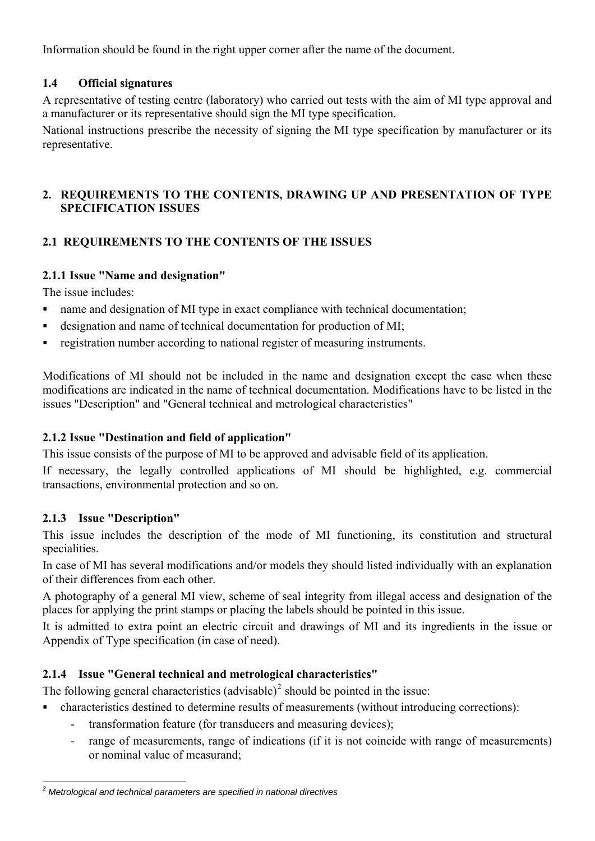Information should be found in the right upper corner after the name of the document.

# **1.4 Official signatures**

A representative of testing centre (laboratory) who carried out tests with the aim of MI type approval and a manufacturer or its representative should sign the MI type specification.

National instructions prescribe the necessity of signing the MI type specification by manufacturer or its representative.

# **2. REQUIREMENTS TO THE CONTENTS, DRAWING UP AND PRESENTATION OF TYPE SPECIFICATION ISSUES**

# **2.1 REQUIREMENTS TO THE CONTENTS OF THE ISSUES**

# **2.1.1 Issue "Name and designation"**

The issue includes:

- name and designation of MI type in exact compliance with technical documentation;
- designation and name of technical documentation for production of MI;
- registration number according to national register of measuring instruments.

Modifications of MI should not be included in the name and designation except the case when these modifications are indicated in the name of technical documentation. Modifications have to be listed in the issues "Description" and "General technical and metrological characteristics"

# **2.1.2 Issue "Destination and field of application"**

This issue consists of the purpose of MI to be approved and advisable field of its application.

If necessary, the legally controlled applications of MI should be highlighted, e.g. commercial transactions, environmental protection and so on.

# **2.1.3 Issue "Description"**

This issue includes the description of the mode of MI functioning, its constitution and structural specialities.

In case of MI has several modifications and/or models they should listed individually with an explanation of their differences from each other.

A photography of a general MI view, scheme of seal integrity from illegal access and designation of the places for applying the print stamps or placing the labels should be pointed in this issue.

It is admitted to extra point an electric circuit and drawings of MI and its ingredients in the issue or Appendix of Type specification (in case of need).

# **2.1.4 Issue "General technical and metrological characteristics"**

The following general characteristics (advisable)<sup>[2](#page-1-0)</sup> should be pointed in the issue:

- characteristics destined to determine results of measurements (without introducing corrections):
	- transformation feature (for transducers and measuring devices);
	- range of measurements, range of indications (if it is not coincide with range of measurements) or nominal value of measurand;

<span id="page-1-0"></span> *2 Metrological and technical parameters are specified in national directives*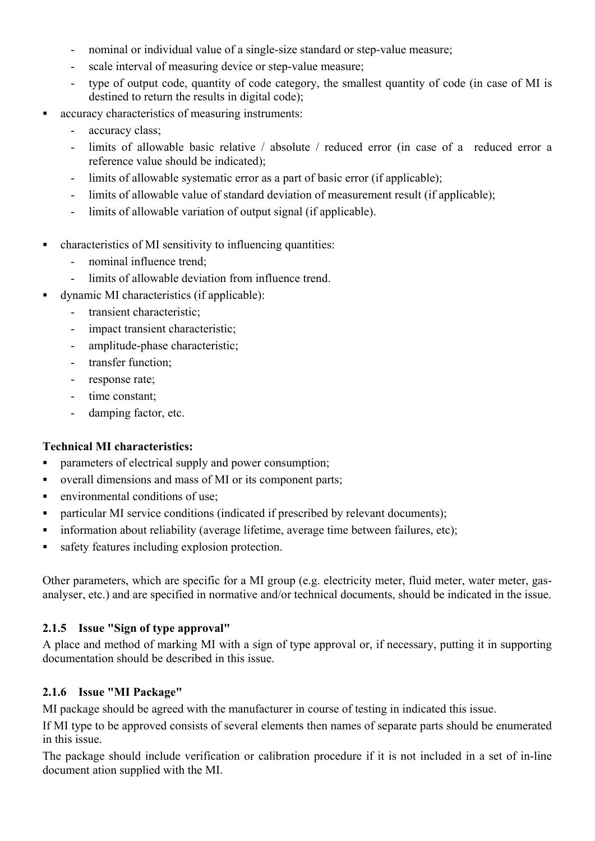- nominal or individual value of a single-size standard or step-value measure;
- scale interval of measuring device or step-value measure;
- type of output code, quantity of code category, the smallest quantity of code (in case of MI is destined to return the results in digital code);
- accuracy characteristics of measuring instruments:
	- accuracy class:
	- limits of allowable basic relative / absolute / reduced error (in case of a reduced error a reference value should be indicated);
	- limits of allowable systematic error as a part of basic error (if applicable);
	- limits of allowable value of standard deviation of measurement result (if applicable);
	- limits of allowable variation of output signal (if applicable).
- characteristics of MI sensitivity to influencing quantities:
	- nominal influence trend;
	- limits of allowable deviation from influence trend.
- dynamic MI characteristics (if applicable):
	- transient characteristic:
	- impact transient characteristic;
	- amplitude-phase characteristic;
	- transfer function;
	- response rate;
	- time constant;
	- damping factor, etc.

#### **Technical MI characteristics:**

- parameters of electrical supply and power consumption;
- overall dimensions and mass of MI or its component parts;
- **EXECUTE:** environmental conditions of use:
- particular MI service conditions (indicated if prescribed by relevant documents);
- **information about reliability (average lifetime, average time between failures, etc);**
- safety features including explosion protection.

Other parameters, which are specific for a MI group (e.g. electricity meter, fluid meter, water meter, gasanalyser, etc.) and are specified in normative and/or technical documents, should be indicated in the issue.

#### **2.1.5 Issue "Sign of type approval"**

A place and method of marking MI with a sign of type approval or, if necessary, putting it in supporting documentation should be described in this issue.

#### **2.1.6 Issue "MI Package"**

MI package should be agreed with the manufacturer in course of testing in indicated this issue.

If MI type to be approved consists of several elements then names of separate parts should be enumerated in this issue.

The package should include verification or calibration procedure if it is not included in a set of in-line document ation supplied with the MI.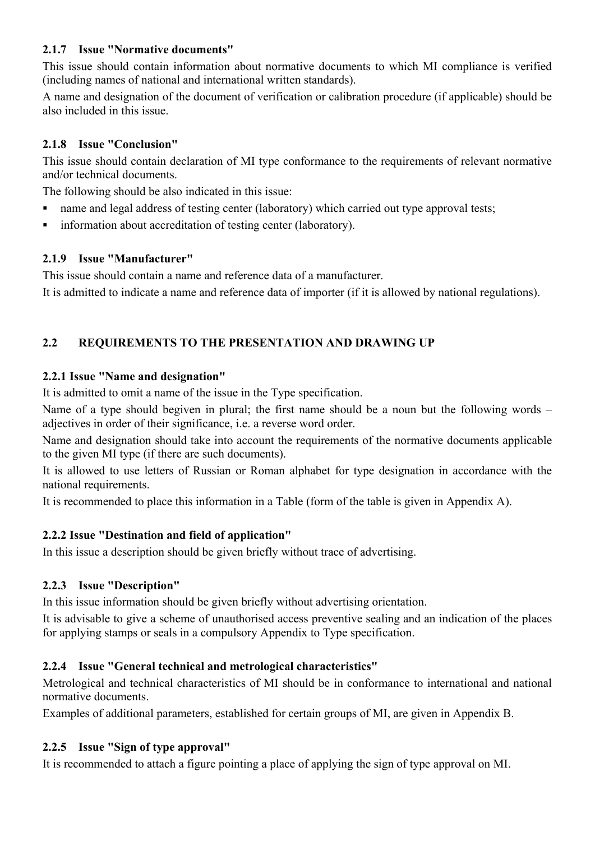## **2.1.7 Issue "Normative documents"**

This issue should contain information about normative documents to which MI compliance is verified (including names of national and international written standards).

A name and designation of the document of verification or calibration procedure (if applicable) should be also included in this issue.

## **2.1.8 Issue "Conclusion"**

This issue should contain declaration of MI type conformance to the requirements of relevant normative and/or technical documents.

The following should be also indicated in this issue:

- name and legal address of testing center (laboratory) which carried out type approval tests;
- **information about accreditation of testing center (laboratory).**

### **2.1.9 Issue "Manufacturer"**

This issue should contain a name and reference data of a manufacturer.

It is admitted to indicate a name and reference data of importer (if it is allowed by national regulations).

# **2.2 REQUIREMENTS TO THE PRESENTATION AND DRAWING UP**

### **2.2.1 Issue "Name and designation"**

It is admitted to omit a name of the issue in the Type specification.

Name of а type should begiven in plural; the first name should be a noun but the following words – adjectives in order of their significance, i.e. a reverse word order.

Name and designation should take into account the requirements of the normative documents applicable to the given MI type (if there are such documents).

It is allowed to use letters of Russian or Roman alphabet for type designation in accordance with the national requirements.

It is recommended to place this information in a Table (form of the table is given in Appendix A).

## **2.2.2 Issue "Destination and field of application"**

In this issue a description should be given briefly without trace of advertising.

#### **2.2.3 Issue "Description"**

In this issue information should be given briefly without advertising orientation.

It is advisable to give a scheme of unauthorised access preventive sealing and an indication of the places for applying stamps or seals in a compulsory Appendix to Type specification.

## **2.2.4 Issue "General technical and metrological characteristics"**

Metrological and technical characteristics of MI should be in conformance to international and national normative documents.

Examples of additional parameters, established for certain groups of MI, are given in Appendix B.

## **2.2.5 Issue "Sign of type approval"**

It is recommended to attach a figure pointing a place of applying the sign of type approval on MI.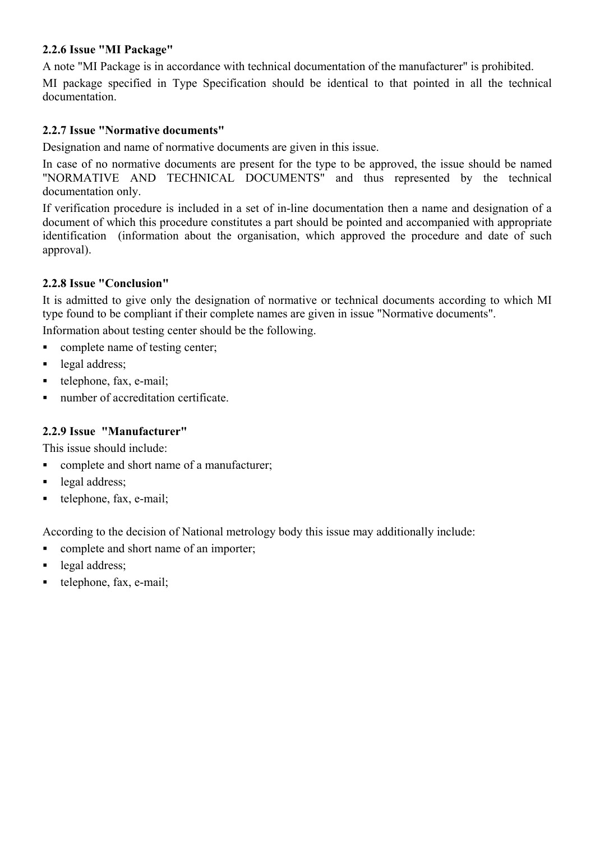#### **2.2.6 Issue "MI Package"**

A note "MI Package is in accordance with technical documentation of the manufacturer" is prohibited.

MI package specified in Type Specification should be identical to that pointed in all the technical documentation.

### **2.2.7 Issue "Normative documents"**

Designation and name of normative documents are given in this issue.

In case of no normative documents are present for the type to be approved, the issue should be named "NORMATIVE AND TECHNICAL DOCUMENTS" and thus represented by the technical documentation only.

If verification procedure is included in a set of in-line documentation then a name and designation of a document of which this procedure constitutes a part should be pointed and accompanied with appropriate identification (information about the organisation, which approved the procedure and date of such approval).

### **2.2.8 Issue "Conclusion"**

It is admitted to give only the designation of normative or technical documents according to which MI type found to be compliant if their complete names are given in issue "Normative documents".

Information about testing center should be the following.

• complete name of testing center;

- legal address;
- telephone, fax, e-mail;
- number of accreditation certificate

#### **2.2.9 Issue "Manufacturer"**

This issue should include:

- complete and short name of a manufacturer;
- legal address;
- $\bullet$  telephone, fax, e-mail;

According to the decision of National metrology body this issue may additionally include:

- complete and short name of an importer;
- legal address:
- telephone, fax, e-mail;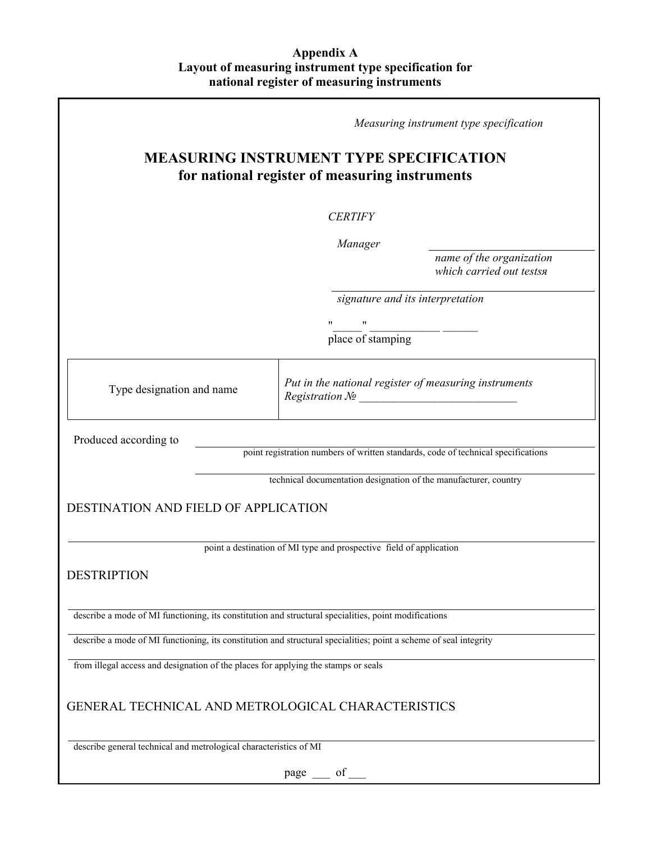#### **Appendix A Layout of measuring instrument type specification for national register of measuring instruments**

|                                                                                                            |  |                                                                                                                   | Measuring instrument type specification               |  |
|------------------------------------------------------------------------------------------------------------|--|-------------------------------------------------------------------------------------------------------------------|-------------------------------------------------------|--|
| <b>MEASURING INSTRUMENT TYPE SPECIFICATION</b><br>for national register of measuring instruments           |  |                                                                                                                   |                                                       |  |
|                                                                                                            |  | <b>CERTIFY</b>                                                                                                    |                                                       |  |
|                                                                                                            |  | Manager                                                                                                           | name of the organization<br>which carried out testsa  |  |
|                                                                                                            |  | signature and its interpretation                                                                                  |                                                       |  |
|                                                                                                            |  | $\pmb{\mathsf{H}}$<br>11<br>place of stamping                                                                     |                                                       |  |
| Type designation and name                                                                                  |  | Registration $\mathcal{N}\!\mathit{\underline{o}}$                                                                | Put in the national register of measuring instruments |  |
| Produced according to<br>point registration numbers of written standards, code of technical specifications |  |                                                                                                                   |                                                       |  |
|                                                                                                            |  | technical documentation designation of the manufacturer, country                                                  |                                                       |  |
| <b>DESTINATION AND FIELD OF APPLICATION</b>                                                                |  |                                                                                                                   |                                                       |  |
|                                                                                                            |  | point a destination of MI type and prospective field of application                                               |                                                       |  |
| <b>DESTRIPTION</b>                                                                                         |  |                                                                                                                   |                                                       |  |
| describe a mode of MI functioning, its constitution and structural specialities, point modifications       |  |                                                                                                                   |                                                       |  |
|                                                                                                            |  | describe a mode of MI functioning, its constitution and structural specialities; point a scheme of seal integrity |                                                       |  |
| from illegal access and designation of the places for applying the stamps or seals                         |  |                                                                                                                   |                                                       |  |
| GENERAL TECHNICAL AND METROLOGICAL CHARACTERISTICS                                                         |  |                                                                                                                   |                                                       |  |
| describe general technical and metrological characteristics of MI                                          |  |                                                                                                                   |                                                       |  |
|                                                                                                            |  | of<br>page                                                                                                        |                                                       |  |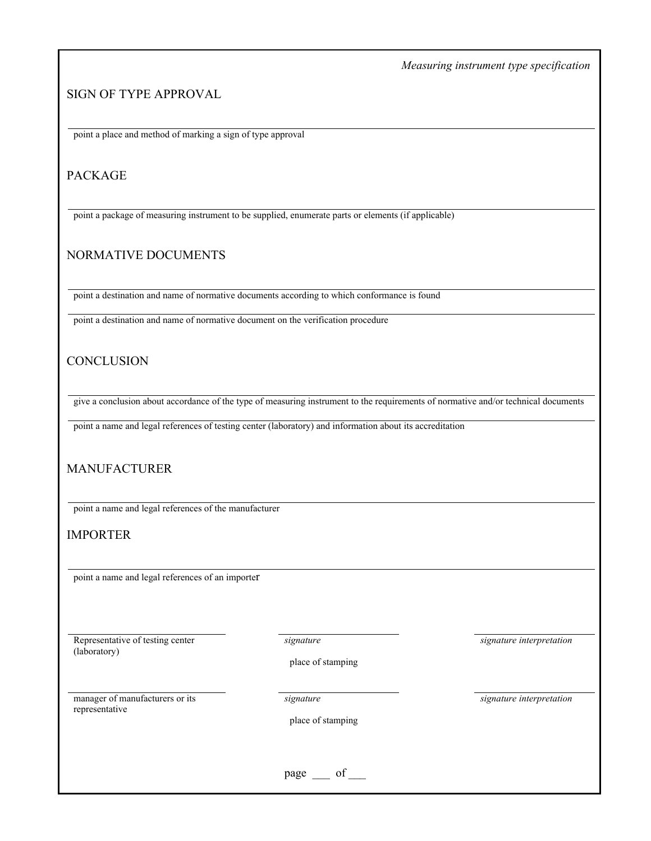*Measuring instrument type specification*

#### SIGN OF TYPE APPROVAL

point a place and method of marking a sign of type approval

#### PACKAGE

point a package of measuring instrument to be supplied, enumerate parts or elements (if applicable)

#### NORMATIVE DOCUMENTS

point a destination and name of normative documents according to which conformance is found

point a destination and name of normative document on the verification procedure

#### **CONCLUSION**

give a conclusion about accordance of the type of measuring instrument to the requirements of normative and/or technical documents

point a name and legal references of testing center (laboratory) and information about its accreditation

#### MANUFACTURER

point a name and legal references of the manufacturer

#### IMPORTER

point a name and legal references of an importer

Representative of testing center (laboratory)

*signature signature interpretation*

place of stamping

manager of manufacturers or its representative

place of stamping

*signature signature interpretation*

 $page \_\ of \_\$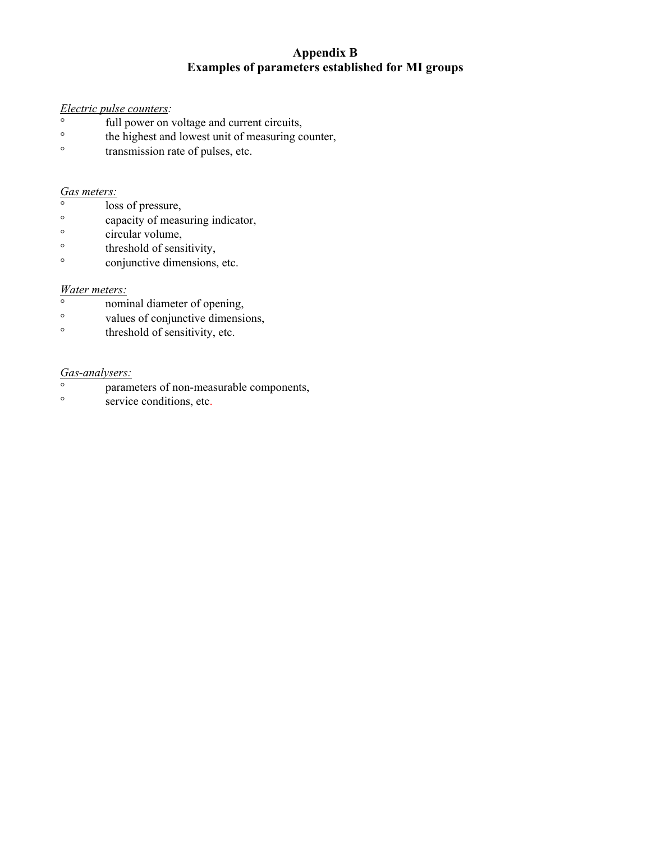### **Appendix B Examples of parameters established for MI groups**

# *Electric pulse counters:*

- full power on voltage and current circuits,<br>
 the highest and lowest unit of measuring co
- the highest and lowest unit of measuring counter,
- $\degree$  transmission rate of pulses, etc.

#### *Gas meters:*

- ° loss of pressure,
- ° capacity of measuring indicator,
- $\degree$  circular volume,
- ° threshold of sensitivity,
- ° conjunctive dimensions, etc.

#### *Water meters:*

- nominal diameter of opening,<br>
values of conjunctive dimensions
- values of conjunctive dimensions,
- $\circ$  threshold of sensitivity, etc.

#### *Gas-analysers:*

- ° parameters of non-measurable components,
- service conditions, etc.